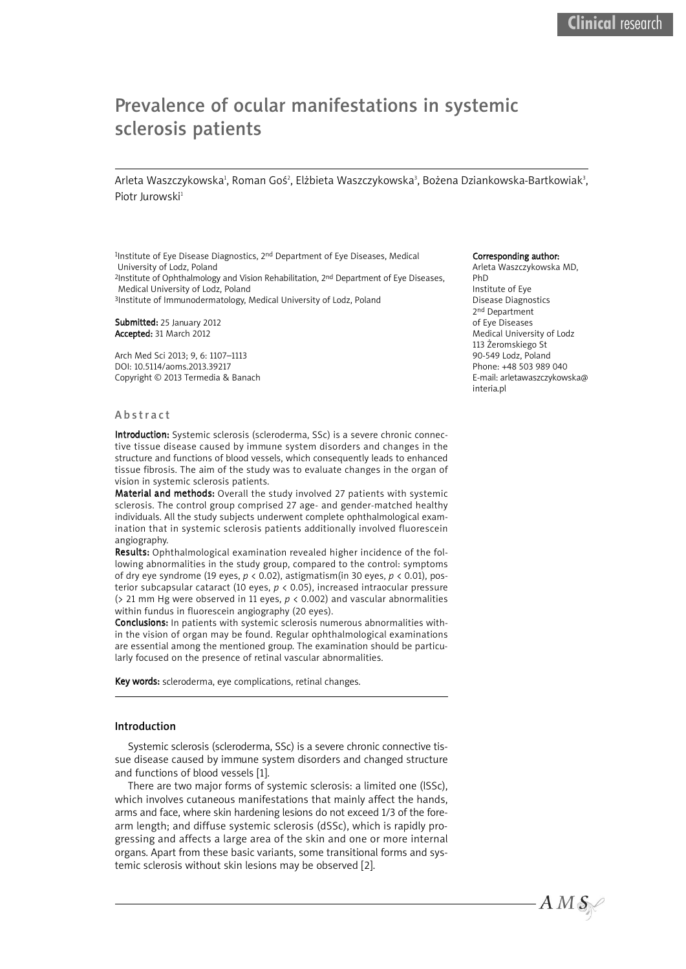# Prevalence of ocular manifestations in systemic sclerosis patients

Arleta Waszczykowska', Roman Goś', Elżbieta Waszczykowska', Bożena Dziankowska-Bartkowiak<sup>3</sup>, Piotr Jurowski<sup>1</sup>

1Institute of Eye Disease Diagnostics, 2nd Department of Eye Diseases, Medical University of Lodz, Poland 2Institute of Ophthalmology and Vision Rehabilitation, 2<sup>nd</sup> Department of Eye Diseases, Medical University of Lodz, Poland 3Institute of Immunodermatology, Medical University of Lodz, Poland

Submitted: 25 January 2012 Accepted: 31 March 2012

Arch Med Sci 2013; 9, 6: 1107–1113 DOI: 10.5114/aoms.2013.39217 Copyright © 2013 Termedia & Banach

#### **Abstract**

Introduction: Systemic sclerosis (scleroderma, SSc) is a severe chronic connective tissue disease caused by immune system disorders and changes in the structure and functions of blood vessels, which consequently leads to enhanced tissue fibrosis. The aim of the study was to evaluate changes in the organ of vision in systemic sclerosis patients.

Material and methods: Overall the study involved 27 patients with systemic sclerosis. The control group comprised 27 age- and gender-matched healthy individuals. All the study subjects underwent complete ophthalmological examination that in systemic sclerosis patients additionally involved fluorescein angiography.

Results: Ophthalmological examination revealed higher incidence of the following abnormalities in the study group, compared to the control: symptoms of dry eye syndrome (19 eyes, *p* < 0.02), astigmatism(in 30 eyes, *p* < 0.01), posterior subcapsular cataract (10 eyes, *p* < 0.05), increased intraocular pressure (> 21 mm Hg were observed in 11 eyes, *p* < 0.002) and vascular abnormalities within fundus in fluorescein angiography (20 eyes).

Conclusions: In patients with systemic sclerosis numerous abnormalities within the vision of organ may be found. Regular ophthalmological examinations are essential among the mentioned group. The examination should be particularly focused on the presence of retinal vascular abnormalities.

Key words: scleroderma, eye complications, retinal changes.

## Introduction

Systemic sclerosis (scleroderma, SSc) is a severe chronic connective tissue disease caused by immune system disorders and changed structure and functions of blood vessels [1].

There are two major forms of systemic sclerosis: a limited one (lSSc), which involves cutaneous manifestations that mainly affect the hands, arms and face, where skin hardening lesions do not exceed 1/3 of the forearm length; and diffuse systemic sclerosis (dSSc), which is rapidly progressing and affects a large area of the skin and one or more internal organs. Apart from these basic variants, some transitional forms and systemic sclerosis without skin lesions may be observed [2].

#### Corresponding author:

Arleta Waszczykowska MD, PhD Institute of Eye Disease Diagnostics 2nd Department of Eye Diseases Medical University of Lodz 113 Żeromskiego St 90-549 Lodz, Poland Phone: +48 503 989 040 E-mail: arletawaszczykowska@

 $A\,M\,\mathcal{S}_\mathbb{N}$ 

interia.pl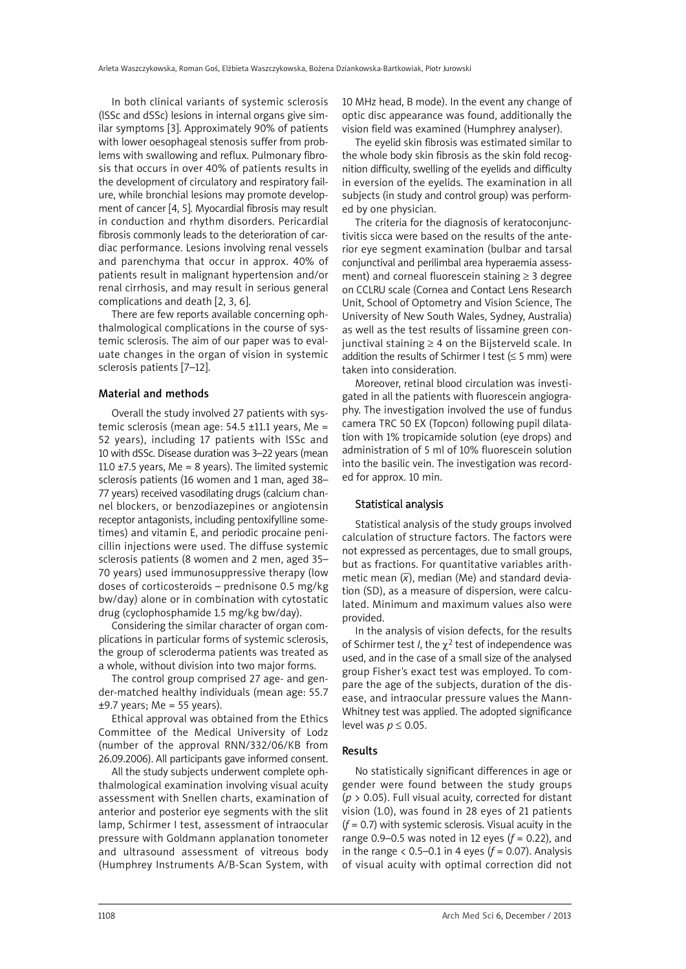In both clinical variants of systemic sclerosis (lSSc and dSSc) lesions in internal organs give similar symptoms [3]. Approximately 90% of patients with lower oesophageal stenosis suffer from problems with swallowing and reflux. Pulmonary fibrosis that occurs in over 40% of patients results in the development of circulatory and respiratory failure, while bronchial lesions may promote development of cancer [4, 5]. Myocardial fibrosis may result in conduction and rhythm disorders. Pericardial fibrosis commonly leads to the deterioration of cardiac performance. Lesions involving renal vessels and parenchyma that occur in approx. 40% of patients result in malignant hypertension and/or renal cirrhosis, and may result in serious general complications and death [2, 3, 6].

There are few reports available concerning ophthalmological complications in the course of systemic sclerosis. The aim of our paper was to evaluate changes in the organ of vision in systemic sclerosis patients [7–12].

# Material and methods

Overall the study involved 27 patients with systemic sclerosis (mean age:  $54.5 \pm 11.1$  years. Me = 52 years), including 17 patients with lSSc and 10 with dSSc. Disease duration was 3–22 years (mean 11.0  $\pm$ 7.5 years, Me = 8 years). The limited systemic sclerosis patients (16 women and 1 man, aged 38– 77 years) received vasodilating drugs (calcium channel blockers, or benzodiazepines or angiotensin receptor antagonists, including pentoxifylline sometimes) and vitamin E, and periodic procaine penicillin injections were used. The diffuse systemic sclerosis patients (8 women and 2 men, aged 35– 70 years) used immunosuppressive therapy (low doses of corticosteroids – prednisone 0.5 mg/kg bw/day) alone or in combination with cytostatic drug (cyclophosphamide 1.5 mg/kg bw/day).

Considering the similar character of organ complications in particular forms of systemic sclerosis, the group of scleroderma patients was treated as a whole, without division into two major forms.

The control group comprised 27 age- and gender-matched healthy individuals (mean age: 55.7  $±9.7$  years; Me = 55 years).

Ethical approval was obtained from the Ethics Committee of the Medical University of Lodz (number of the approval RNN/332/06/KB from 26.09.2006). All participants gave informed consent.

All the study subjects underwent complete ophthalmological examination involving visual acuity assessment with Snellen charts, examination of anterior and posterior eye segments with the slit lamp, Schirmer I test, assessment of intraocular pressure with Goldmann applanation tonometer and ultrasound assessment of vitreous body (Humphrey Instruments A/B-Scan System, with 10 MHz head, B mode). In the event any change of optic disc appearance was found, additionally the vision field was examined (Humphrey analyser).

The eyelid skin fibrosis was estimated similar to the whole body skin fibrosis as the skin fold recognition difficulty, swelling of the eyelids and difficulty in eversion of the eyelids. The examination in all subjects (in study and control group) was performed by one physician.

The criteria for the diagnosis of keratoconjunctivitis sicca were based on the results of the anterior eye segment examination (bulbar and tarsal conjunctival and perilimbal area hyperaemia assessment) and corneal fluorescein staining  $\geq$  3 degree on CCLRU scale (Cornea and Contact Lens Research Unit, School of Optometry and Vision Science, The University of New South Wales, Sydney, Australia) as well as the test results of lissamine green conjunctival staining  $\geq 4$  on the Bijsterveld scale. In addition the results of Schirmer I test  $( \leq 5 \text{ mm})$  were taken into consideration.

Moreover, retinal blood circulation was investigated in all the patients with fluorescein angiography. The investigation involved the use of fundus camera TRC 50 EX (Topcon) following pupil dilatation with 1% tropicamide solution (eye drops) and administration of 5 ml of 10% fluorescein solution into the basilic vein. The investigation was recorded for approx. 10 min.

# Statistical analysis

Statistical analysis of the study groups involved calculation of structure factors. The factors were not expressed as percentages, due to small groups, but as fractions. For quantitative variables arithmetic mean (*x* ), median (Me) and standard deviation (SD), as a measure of dispersion, were calculated. Minimum and maximum values also were provided.

In the analysis of vision defects, for the results of Schirmer test *I*, the χ<sup>2</sup> test of independence was used, and in the case of a small size of the analysed group Fisher's exact test was employed. To compare the age of the subjects, duration of the disease, and intraocular pressure values the Mann-Whitney test was applied. The adopted significance level was *p* ≤ 0.05.

# Results

No statistically significant differences in age or gender were found between the study groups (*p* > 0.05). Full visual acuity, corrected for distant vision (1.0), was found in 28 eyes of 21 patients (*f* = 0.7) with systemic sclerosis. Visual acuity in the range 0.9–0.5 was noted in 12 eyes (*f* = 0.22), and in the range  $\leq 0.5 - 0.1$  in 4 eyes ( $f = 0.07$ ). Analysis of visual acuity with optimal correction did not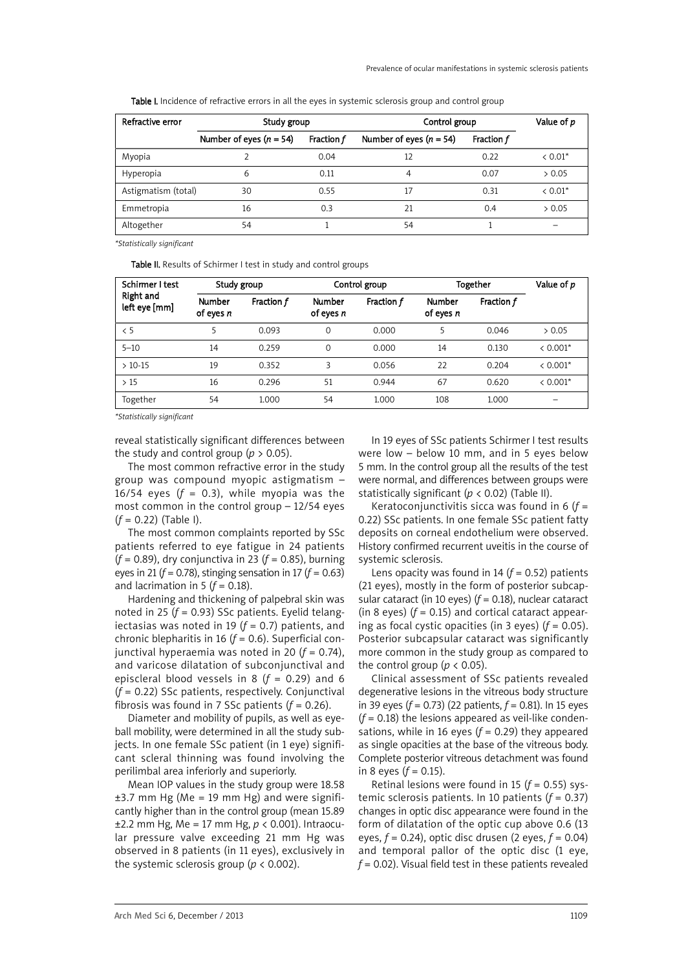Table I. Incidence of refractive errors in all the eyes in systemic sclerosis group and control group

| Refractive error    | Study group                 |                   | Control group               | Value of p |           |
|---------------------|-----------------------------|-------------------|-----------------------------|------------|-----------|
|                     | Number of eyes ( $n = 54$ ) | <b>Fraction f</b> | Number of eyes ( $n = 54$ ) | Fraction f |           |
| Myopia              |                             | 0.04              | 12                          | 0.22       | $< 0.01*$ |
| Hyperopia           | 6                           | 0.11              | 4                           | 0.07       | > 0.05    |
| Astigmatism (total) | 30                          | 0.55              | 17                          | 0.31       | $< 0.01*$ |
| Emmetropia          | 16                          | 0.3               | 21                          | 0.4        | > 0.05    |
| Altogether          | 54                          |                   | 54                          |            |           |

*\*Statistically significant*

Table II. Results of Schirmer I test in study and control groups

| Schirmer I test<br><b>Right and</b><br>left eye [mm] | Study group                  |            | Control group       |            | Together                     |            | Value of p |
|------------------------------------------------------|------------------------------|------------|---------------------|------------|------------------------------|------------|------------|
|                                                      | <b>Number</b><br>of eyes $n$ | Fraction f | Number<br>of eyes n | Fraction f | <b>Number</b><br>of eyes $n$ | Fraction f |            |
| $\leq 5$                                             | 5                            | 0.093      | $\Omega$            | 0.000      | 5                            | 0.046      | > 0.05     |
| $5 - 10$                                             | 14                           | 0.259      | $\Omega$            | 0.000      | 14                           | 0.130      | $< 0.001*$ |
| $>10-15$                                             | 19                           | 0.352      | 3                   | 0.056      | 22                           | 0.204      | $< 0.001*$ |
| >15                                                  | 16                           | 0.296      | 51                  | 0.944      | 67                           | 0.620      | $< 0.001*$ |
| Together                                             | 54                           | 1.000      | 54                  | 1.000      | 108                          | 1.000      |            |

*\*Statistically significant*

reveal statistically significant differences between the study and control group ( $p > 0.05$ ).

The most common refractive error in the study group was compound myopic astigmatism – 16/54 eyes  $(f = 0.3)$ , while myopia was the most common in the control group – 12/54 eyes (*f* = 0.22) (Table I).

The most common complaints reported by SSc patients referred to eye fatigue in 24 patients (*f* = 0.89), dry conjunctiva in 23 (*f* = 0.85), burning eyes in 21 ( $f$  = 0.78), stinging sensation in 17 ( $f$  = 0.63) and lacrimation in 5 ( $f = 0.18$ ).

Hardening and thickening of palpebral skin was noted in 25 (*f* = 0.93) SSc patients. Eyelid telangiectasias was noted in 19 (*f* = 0.7) patients, and chronic blepharitis in 16 (*f* = 0.6). Superficial conjunctival hyperaemia was noted in 20 (*f* = 0.74), and varicose dilatation of subconjunctival and episcleral blood vessels in 8  $(f = 0.29)$  and 6 (*f* = 0.22) SSc patients, respectively. Conjunctival fibrosis was found in 7 SSc patients  $(f = 0.26)$ .

Diameter and mobility of pupils, as well as eyeball mobility, were determined in all the study subjects. In one female SSc patient (in 1 eye) significant scleral thinning was found involving the perilimbal area inferiorly and superiorly.

Mean IOP values in the study group were 18.58  $±3.7$  mm Hg (Me = 19 mm Hg) and were significantly higher than in the control group (mean 15.89 ±2.2 mm Hg, Me = 17 mm Hg, *p* < 0.001). Intraocular pressure valve exceeding 21 mm Hg was observed in 8 patients (in 11 eyes), exclusively in the systemic sclerosis group ( $p < 0.002$ ).

In 19 eyes of SSc patients Schirmer I test results were low – below 10 mm, and in 5 eyes below 5 mm. In the control group all the results of the test were normal, and differences between groups were statistically significant ( $p < 0.02$ ) (Table II).

Keratoconjunctivitis sicca was found in 6 (*f* = 0.22) SSc patients. In one female SSc patient fatty deposits on corneal endothelium were observed. History confirmed recurrent uveitis in the course of systemic sclerosis.

Lens opacity was found in 14 (*f* = 0.52) patients (21 eyes), mostly in the form of posterior subcapsular cataract (in 10 eyes) (*f* = 0.18), nuclear cataract (in 8 eyes)  $(f = 0.15)$  and cortical cataract appearing as focal cystic opacities (in 3 eyes) (*f* = 0.05). Posterior subcapsular cataract was significantly more common in the study group as compared to the control group ( $p < 0.05$ ).

Clinical assessment of SSc patients revealed degenerative lesions in the vitreous body structure in 39 eyes (*f* = 0.73) (22 patients, *f* = 0.81). In 15 eyes  $(f = 0.18)$  the lesions appeared as veil-like condensations, while in 16 eyes  $(f = 0.29)$  they appeared as single opacities at the base of the vitreous body. Complete posterior vitreous detachment was found in 8 eyes  $(f = 0.15)$ .

Retinal lesions were found in 15  $(f = 0.55)$  systemic sclerosis patients. In 10 patients (*f* = 0.37) changes in optic disc appearance were found in the form of dilatation of the optic cup above 0.6 (13 eyes, *f* = 0.24), optic disc drusen (2 eyes, *f* = 0.04) and temporal pallor of the optic disc (1 eye, *f* = 0.02). Visual field test in these patients revealed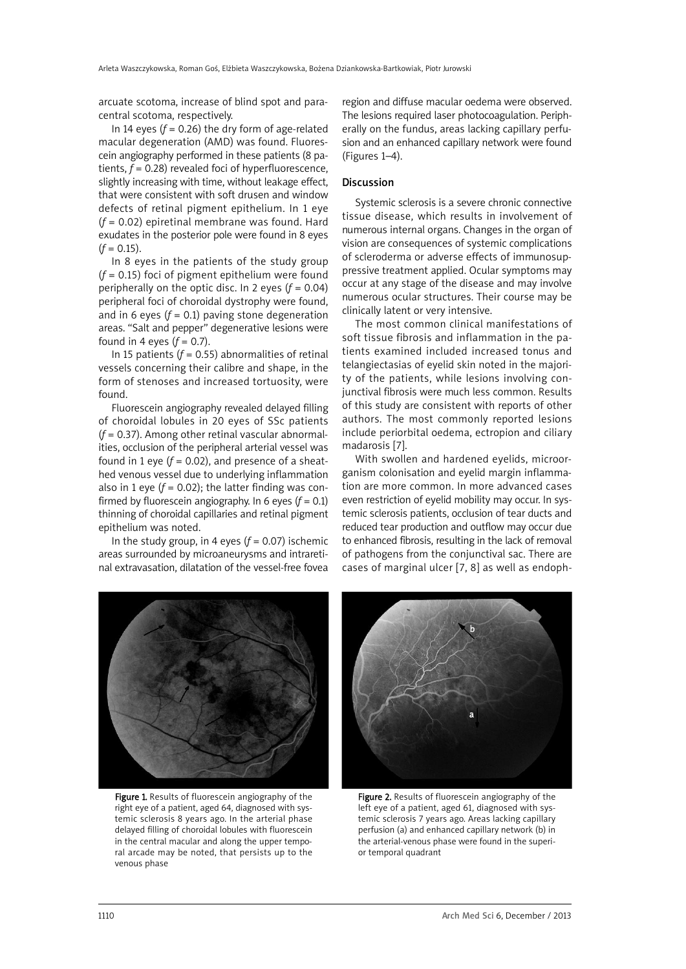arcuate scotoma, increase of blind spot and paracentral scotoma, respectively.

In 14 eyes  $(f = 0.26)$  the dry form of age-related macular degeneration (AMD) was found. Fluorescein angiography performed in these patients (8 patients, *f* = 0.28) revealed foci of hyperfluorescence, slightly increasing with time, without leakage effect, that were consistent with soft drusen and window defects of retinal pigment epithelium. In 1 eye (*f* = 0.02) epiretinal membrane was found. Hard exudates in the posterior pole were found in 8 eyes  $(f = 0.15)$ .

In 8 eyes in the patients of the study group (*f* = 0.15) foci of pigment epithelium were found peripherally on the optic disc. In 2 eyes  $(f = 0.04)$ peripheral foci of choroidal dystrophy were found, and in 6 eyes  $(f = 0.1)$  paving stone degeneration areas. "Salt and pepper" degenerative lesions were found in 4 eyes  $(f = 0.7)$ .

In 15 patients  $(f = 0.55)$  abnormalities of retinal vessels concerning their calibre and shape, in the form of stenoses and increased tortuosity, were found.

Fluorescein angiography revealed delayed filling of choroidal lobules in 20 eyes of SSc patients (*f* = 0.37). Among other retinal vascular abnormalities, occlusion of the peripheral arterial vessel was found in 1 eye  $(f = 0.02)$ , and presence of a sheathed venous vessel due to underlying inflammation also in 1 eye  $(f = 0.02)$ ; the latter finding was confirmed by fluorescein angiography. In 6 eyes  $(f = 0.1)$ thinning of choroidal capillaries and retinal pigment epithelium was noted.

In the study group, in 4 eyes  $(f = 0.07)$  ischemic areas surrounded by microaneurysms and intraretinal extravasation, dilatation of the vessel-free fovea region and diffuse macular oedema were observed. The lesions required laser photocoagulation. Peripherally on the fundus, areas lacking capillary perfusion and an enhanced capillary network were found (Figures 1–4).

## Discussion

Systemic sclerosis is a severe chronic connective tissue disease, which results in involvement of numerous internal organs. Changes in the organ of vision are consequences of systemic complications of scleroderma or adverse effects of immunosuppressive treatment applied. Ocular symptoms may occur at any stage of the disease and may involve numerous ocular structures. Their course may be clinically latent or very intensive.

The most common clinical manifestations of soft tissue fibrosis and inflammation in the patients examined included increased tonus and telangiectasias of eyelid skin noted in the majority of the patients, while lesions involving conjunctival fibrosis were much less common. Results of this study are consistent with reports of other authors. The most commonly reported lesions include periorbital oedema, ectropion and ciliary madarosis [7].

With swollen and hardened eyelids, microorganism colonisation and eyelid margin inflammation are more common. In more advanced cases even restriction of eyelid mobility may occur. In systemic sclerosis patients, occlusion of tear ducts and reduced tear production and outflow may occur due to enhanced fibrosis, resulting in the lack of removal of pathogens from the conjunctival sac. There are cases of marginal ulcer [7, 8] as well as endoph-



Figure 1. Results of fluorescein angiography of the right eye of a patient, aged 64, diagnosed with systemic sclerosis 8 years ago. In the arterial phase delayed filling of choroidal lobules with fluorescein in the central macular and along the upper temporal arcade may be noted, that persists up to the venous phase



Figure 2. Results of fluorescein angiography of the left eye of a patient, aged 61, diagnosed with systemic sclerosis 7 years ago. Areas lacking capillary perfusion (a) and enhanced capillary network (b) in the arterial-venous phase were found in the superior temporal quadrant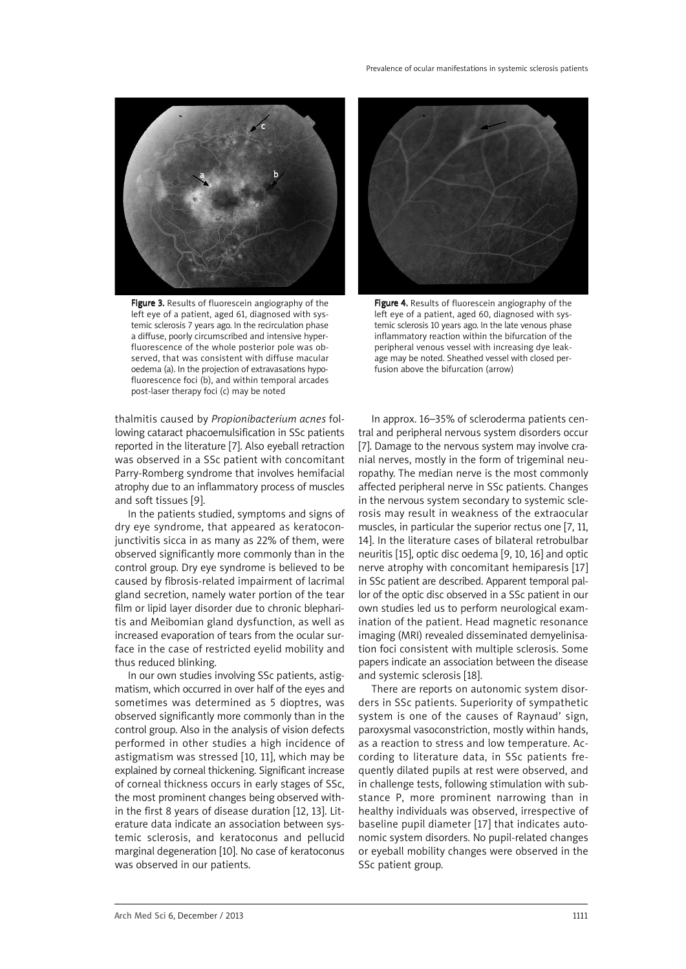

Figure 3. Results of fluorescein angiography of the left eye of a patient, aged 61, diagnosed with systemic sclerosis 7 years ago. In the recirculation phase a diffuse, poorly circumscribed and intensive hyperfluorescence of the whole posterior pole was observed, that was consistent with diffuse macular oedema (a). In the projection of extravasations hypofluorescence foci (b), and within temporal arcades post-laser therapy foci (c) may be noted

thalmitis caused by *Propionibacterium acnes* following cataract phacoemulsification in SSc patients reported in the literature [7]. Also eyeball retraction was observed in a SSc patient with concomitant Parry-Romberg syndrome that involves hemifacial atrophy due to an inflammatory process of muscles and soft tissues [9].

In the patients studied, symptoms and signs of dry eye syndrome, that appeared as keratoconjunctivitis sicca in as many as 22% of them, were observed significantly more commonly than in the control group. Dry eye syndrome is believed to be caused by fibrosis-related impairment of lacrimal gland secretion, namely water portion of the tear film or lipid layer disorder due to chronic blepharitis and Meibomian gland dysfunction, as well as increased evaporation of tears from the ocular surface in the case of restricted eyelid mobility and thus reduced blinking.

In our own studies involving SSc patients, astigmatism, which occurred in over half of the eyes and sometimes was determined as 5 dioptres, was observed significantly more commonly than in the control group. Also in the analysis of vision defects performed in other studies a high incidence of astigmatism was stressed [10, 11], which may be explained by corneal thickening. Significant increase of corneal thickness occurs in early stages of SSc, the most prominent changes being observed within the first 8 years of disease duration [12, 13]. Literature data indicate an association between systemic sclerosis, and keratoconus and pellucid marginal degeneration [10]. No case of keratoconus was observed in our patients.



Figure 4. Results of fluorescein angiography of the left eye of a patient, aged 60, diagnosed with systemic sclerosis 10 years ago. In the late venous phase inflammatory reaction within the bifurcation of the peripheral venous vessel with increasing dye leakage may be noted. Sheathed vessel with closed perfusion above the bifurcation (arrow)

In approx. 16–35% of scleroderma patients central and peripheral nervous system disorders occur [7]. Damage to the nervous system may involve cranial nerves, mostly in the form of trigeminal neuropathy. The median nerve is the most commonly affected peripheral nerve in SSc patients. Changes in the nervous system secondary to systemic sclerosis may result in weakness of the extraocular muscles, in particular the superior rectus one [7, 11, 14]. In the literature cases of bilateral retrobulbar neuritis [15], optic disc oedema [9, 10, 16] and optic nerve atrophy with concomitant hemiparesis [17] in SSc patient are described. Apparent temporal pallor of the optic disc observed in a SSc patient in our own studies led us to perform neurological examination of the patient. Head magnetic resonance imaging (MRI) revealed disseminated demyelinisation foci consistent with multiple sclerosis. Some papers indicate an association between the disease and systemic sclerosis [18].

There are reports on autonomic system disorders in SSc patients. Superiority of sympathetic system is one of the causes of Raynaud' sign, paroxysmal vasoconstriction, mostly within hands, as a reaction to stress and low temperature. According to literature data, in SSc patients frequently dilated pupils at rest were observed, and in challenge tests, following stimulation with substance P, more prominent narrowing than in healthy individuals was observed, irrespective of baseline pupil diameter [17] that indicates autonomic system disorders. No pupil-related changes or eyeball mobility changes were observed in the SSc patient group.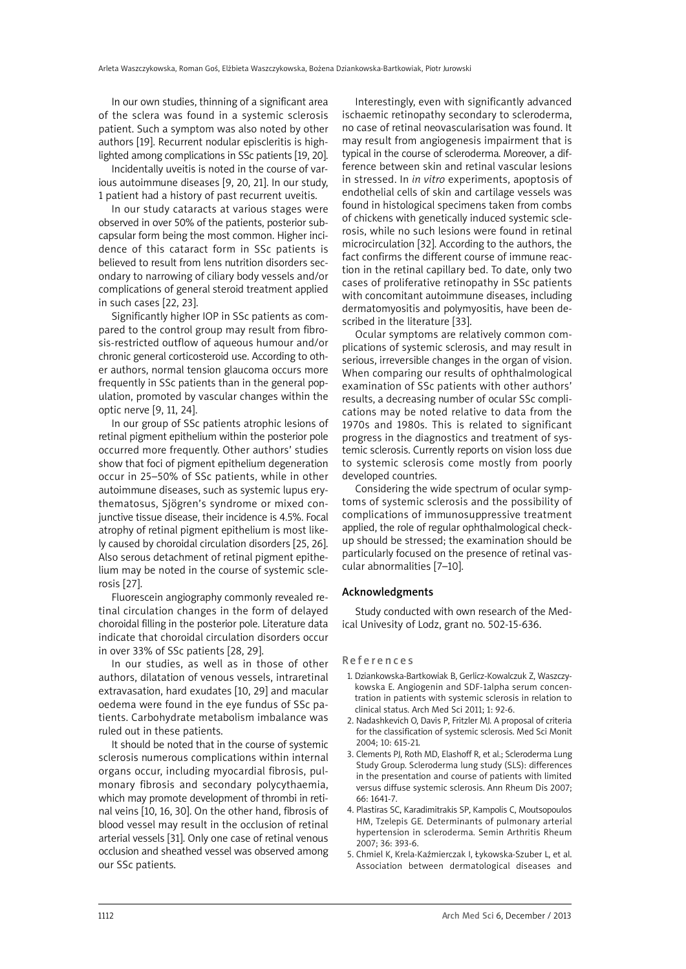In our own studies, thinning of a significant area of the sclera was found in a systemic sclerosis patient. Such a symptom was also noted by other authors [19]. Recurrent nodular episcleritis is highlighted among complications in SSc patients [19, 20].

Incidentally uveitis is noted in the course of various autoimmune diseases [9, 20, 21]. In our study, 1 patient had a history of past recurrent uveitis.

In our study cataracts at various stages were observed in over 50% of the patients, posterior subcapsular form being the most common. Higher incidence of this cataract form in SSc patients is believed to result from lens nutrition disorders secondary to narrowing of ciliary body vessels and/or complications of general steroid treatment applied in such cases [22, 23].

Significantly higher IOP in SSc patients as compared to the control group may result from fibrosis-restricted outflow of aqueous humour and/or chronic general corticosteroid use. According to other authors, normal tension glaucoma occurs more frequently in SSc patients than in the general population, promoted by vascular changes within the optic nerve [9, 11, 24].

In our group of SSc patients atrophic lesions of retinal pigment epithelium within the posterior pole occurred more frequently. Other authors' studies show that foci of pigment epithelium degeneration occur in 25–50% of SSc patients, while in other autoimmune diseases, such as systemic lupus erythematosus, Sjögren's syndrome or mixed conjunctive tissue disease, their incidence is 4.5%. Focal atrophy of retinal pigment epithelium is most likely caused by choroidal circulation disorders [25, 26]. Also serous detachment of retinal pigment epithelium may be noted in the course of systemic sclerosis [27].

Fluorescein angiography commonly revealed retinal circulation changes in the form of delayed choroidal filling in the posterior pole. Literature data indicate that choroidal circulation disorders occur in over 33% of SSc patients [28, 29].

In our studies, as well as in those of other authors, dilatation of venous vessels, intraretinal extravasation, hard exudates [10, 29] and macular oedema were found in the eye fundus of SSc patients. Carbohydrate metabolism imbalance was ruled out in these patients.

It should be noted that in the course of systemic sclerosis numerous complications within internal organs occur, including myocardial fibrosis, pulmonary fibrosis and secondary polycythaemia, which may promote development of thrombi in retinal veins [10, 16, 30]. On the other hand, fibrosis of blood vessel may result in the occlusion of retinal arterial vessels [31]. Only one case of retinal venous occlusion and sheathed vessel was observed among our SSc patients.

Interestingly, even with significantly advanced ischaemic retinopathy secondary to scleroderma, no case of retinal neovascularisation was found. It may result from angiogenesis impairment that is typical in the course of scleroderma. Moreover, a difference between skin and retinal vascular lesions in stressed. In *in vitro* experiments, apoptosis of endothelial cells of skin and cartilage vessels was found in histological specimens taken from combs of chickens with genetically induced systemic sclerosis, while no such lesions were found in retinal microcirculation [32]. According to the authors, the fact confirms the different course of immune reaction in the retinal capillary bed. To date, only two cases of proliferative retinopathy in SSc patients with concomitant autoimmune diseases, including dermatomyositis and polymyositis, have been described in the literature [33].

Ocular symptoms are relatively common complications of systemic sclerosis, and may result in serious, irreversible changes in the organ of vision. When comparing our results of ophthalmological examination of SSc patients with other authors' results, a decreasing number of ocular SSc complications may be noted relative to data from the 1970s and 1980s. This is related to significant progress in the diagnostics and treatment of systemic sclerosis. Currently reports on vision loss due to systemic sclerosis come mostly from poorly developed countries.

Considering the wide spectrum of ocular symptoms of systemic sclerosis and the possibility of complications of immunosuppressive treatment applied, the role of regular ophthalmological checkup should be stressed; the examination should be particularly focused on the presence of retinal vascular abnormalities [7–10].

#### Acknowledgments

Study conducted with own research of the Medical Univesity of Lodz, grant no. 502-15-636.

### **References**

- 1. Dziankowska-Bartkowiak B, Gerlicz-Kowalczuk Z, Waszczykowska E. Angiogenin and SDF-1alpha serum concentration in patients with systemic sclerosis in relation to clinical status. Arch Med Sci 2011; 1: 92-6.
- 2. Nadashkevich O, Davis P, Fritzler MJ. A proposal of criteria for the classification of systemic sclerosis. Med Sci Monit 2004; 10: 615-21.
- 3. Clements PJ, Roth MD, Elashoff R, et al.; Scleroderma Lung Study Group. Scleroderma lung study (SLS): differences in the presentation and course of patients with limited versus diffuse systemic sclerosis. Ann Rheum Dis 2007; 66: 1641-7.
- 4. Plastiras SC, Karadimitrakis SP, Kampolis C, Moutsopoulos HM, Tzelepis GE. Determinants of pulmonary arterial hypertension in scleroderma. Semin Arthritis Rheum 2007; 36: 393-6.
- 5. Chmiel K, Krela-Kaźmierczak I, Łykowska-Szuber L, et al. Association between dermatological diseases and